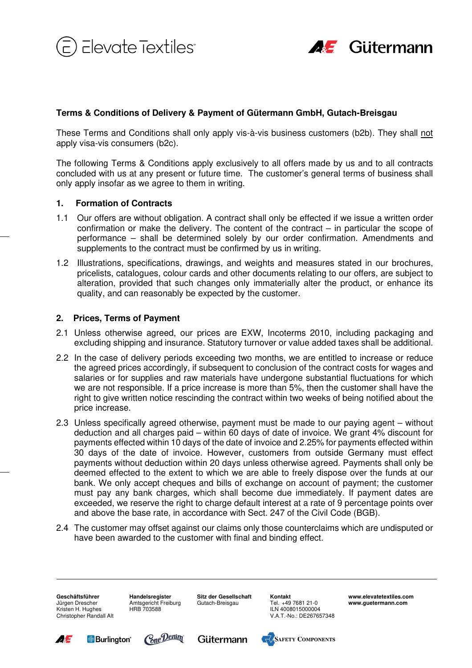



# **Terms & Conditions of Delivery & Payment of Gütermann GmbH, Gutach-Breisgau**

These Terms and Conditions shall only apply vis-à-vis business customers (b2b). They shall not apply visa-vis consumers (b2c).

The following Terms & Conditions apply exclusively to all offers made by us and to all contracts concluded with us at any present or future time. The customer's general terms of business shall only apply insofar as we agree to them in writing.

## **1. Formation of Contracts**

- 1.1 Our offers are without obligation. A contract shall only be effected if we issue a written order confirmation or make the delivery. The content of the contract – in particular the scope of performance – shall be determined solely by our order confirmation. Amendments and supplements to the contract must be confirmed by us in writing.
- 1.2 Illustrations, specifications, drawings, and weights and measures stated in our brochures, pricelists, catalogues, colour cards and other documents relating to our offers, are subject to alteration, provided that such changes only immaterially alter the product, or enhance its quality, and can reasonably be expected by the customer.

## **2. Prices, Terms of Payment**

- 2.1 Unless otherwise agreed, our prices are EXW, Incoterms 2010, including packaging and excluding shipping and insurance. Statutory turnover or value added taxes shall be additional.
- 2.2 In the case of delivery periods exceeding two months, we are entitled to increase or reduce the agreed prices accordingly, if subsequent to conclusion of the contract costs for wages and salaries or for supplies and raw materials have undergone substantial fluctuations for which we are not responsible. If a price increase is more than 5%, then the customer shall have the right to give written notice rescinding the contract within two weeks of being notified about the price increase.
- 2.3 Unless specifically agreed otherwise, payment must be made to our paying agent without deduction and all charges paid – within 60 days of date of invoice. We grant 4% discount for payments effected within 10 days of the date of invoice and 2.25% for payments effected within 30 days of the date of invoice. However, customers from outside Germany must effect payments without deduction within 20 days unless otherwise agreed. Payments shall only be deemed effected to the extent to which we are able to freely dispose over the funds at our bank. We only accept cheques and bills of exchange on account of payment; the customer must pay any bank charges, which shall become due immediately. If payment dates are exceeded, we reserve the right to charge default interest at a rate of 9 percentage points over and above the base rate, in accordance with Sect. 247 of the Civil Code (BGB).
- 2.4 The customer may offset against our claims only those counterclaims which are undisputed or have been awarded to the customer with final and binding effect.

**Geschäftsführer**  Jürgen Drescher Kristen H. Hughes Christopher Randall Alt **Handelsregister**  Amtsgericht Freiburg HRB 703588 **Sitz der Gesellschaft**  Gutach-Breisgau

**Kontakt**  Tel. +49 7681 21-0 ILN 4008015000004

V.A.T.-No.: DE267657348 **www.elevatetextiles.com www.guetermann.com** 









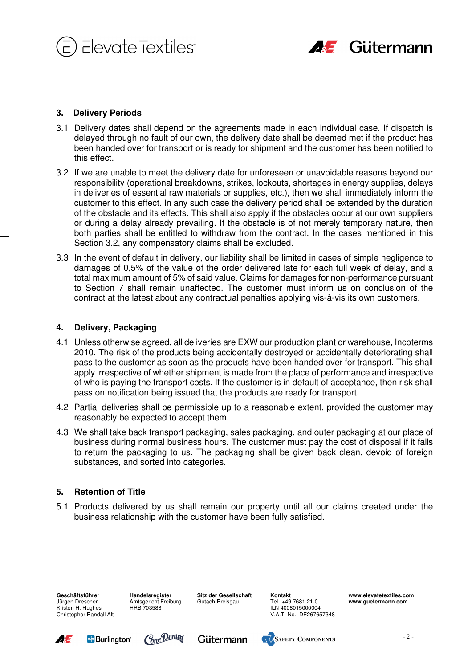



## **3. Delivery Periods**

- 3.1 Delivery dates shall depend on the agreements made in each individual case. If dispatch is delayed through no fault of our own, the delivery date shall be deemed met if the product has been handed over for transport or is ready for shipment and the customer has been notified to this effect.
- 3.2 If we are unable to meet the delivery date for unforeseen or unavoidable reasons beyond our responsibility (operational breakdowns, strikes, lockouts, shortages in energy supplies, delays in deliveries of essential raw materials or supplies, etc.), then we shall immediately inform the customer to this effect. In any such case the delivery period shall be extended by the duration of the obstacle and its effects. This shall also apply if the obstacles occur at our own suppliers or during a delay already prevailing. If the obstacle is of not merely temporary nature, then both parties shall be entitled to withdraw from the contract. In the cases mentioned in this Section 3.2, any compensatory claims shall be excluded.
- 3.3 In the event of default in delivery, our liability shall be limited in cases of simple negligence to damages of 0,5% of the value of the order delivered late for each full week of delay, and a total maximum amount of 5% of said value. Claims for damages for non-performance pursuant to Section 7 shall remain unaffected. The customer must inform us on conclusion of the contract at the latest about any contractual penalties applying vis-à-vis its own customers.

#### **4. Delivery, Packaging**

- 4.1 Unless otherwise agreed, all deliveries are EXW our production plant or warehouse, Incoterms 2010. The risk of the products being accidentally destroyed or accidentally deteriorating shall pass to the customer as soon as the products have been handed over for transport. This shall apply irrespective of whether shipment is made from the place of performance and irrespective of who is paying the transport costs. If the customer is in default of acceptance, then risk shall pass on notification being issued that the products are ready for transport.
- 4.2 Partial deliveries shall be permissible up to a reasonable extent, provided the customer may reasonably be expected to accept them.
- 4.3 We shall take back transport packaging, sales packaging, and outer packaging at our place of business during normal business hours. The customer must pay the cost of disposal if it fails to return the packaging to us. The packaging shall be given back clean, devoid of foreign substances, and sorted into categories.

#### **5. Retention of Title**

5.1 Products delivered by us shall remain our property until all our claims created under the business relationship with the customer have been fully satisfied.

**Geschäftsführer**  Jürgen Drescher Kristen H. Hughes Christopher Randall Alt

**Handelsregister**  Amtsgericht Freiburg HRB 703588

**Sitz der Gesellschaft**  Gutach-Breisgau

**Kontakt**  Tel. +49 7681 21-0 ILN 4008015000004 V.A.T.-No.: DE267657348









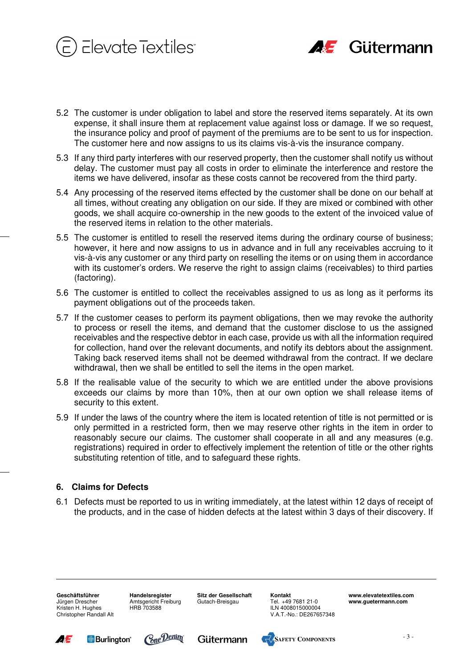



- 5.2 The customer is under obligation to label and store the reserved items separately. At its own expense, it shall insure them at replacement value against loss or damage. If we so request, the insurance policy and proof of payment of the premiums are to be sent to us for inspection. The customer here and now assigns to us its claims vis-à-vis the insurance company.
- 5.3 If any third party interferes with our reserved property, then the customer shall notify us without delay. The customer must pay all costs in order to eliminate the interference and restore the items we have delivered, insofar as these costs cannot be recovered from the third party.
- 5.4 Any processing of the reserved items effected by the customer shall be done on our behalf at all times, without creating any obligation on our side. If they are mixed or combined with other goods, we shall acquire co-ownership in the new goods to the extent of the invoiced value of the reserved items in relation to the other materials.
- 5.5 The customer is entitled to resell the reserved items during the ordinary course of business; however, it here and now assigns to us in advance and in full any receivables accruing to it vis-à-vis any customer or any third party on reselling the items or on using them in accordance with its customer's orders. We reserve the right to assign claims (receivables) to third parties (factoring).
- 5.6 The customer is entitled to collect the receivables assigned to us as long as it performs its payment obligations out of the proceeds taken.
- 5.7 If the customer ceases to perform its payment obligations, then we may revoke the authority to process or resell the items, and demand that the customer disclose to us the assigned receivables and the respective debtor in each case, provide us with all the information required for collection, hand over the relevant documents, and notify its debtors about the assignment. Taking back reserved items shall not be deemed withdrawal from the contract. If we declare withdrawal, then we shall be entitled to sell the items in the open market.
- 5.8 If the realisable value of the security to which we are entitled under the above provisions exceeds our claims by more than 10%, then at our own option we shall release items of security to this extent.
- 5.9 If under the laws of the country where the item is located retention of title is not permitted or is only permitted in a restricted form, then we may reserve other rights in the item in order to reasonably secure our claims. The customer shall cooperate in all and any measures (e.g. registrations) required in order to effectively implement the retention of title or the other rights substituting retention of title, and to safeguard these rights.

## **6. Claims for Defects**

6.1 Defects must be reported to us in writing immediately, at the latest within 12 days of receipt of the products, and in the case of hidden defects at the latest within 3 days of their discovery. If

**Geschäftsführer**  Jürgen Drescher Kristen H. Hughes Christopher Randall Alt **Handelsregister**  Amtsgericht Freiburg HRB 703588

**Sitz der Gesellschaft**  Gutach-Breisgau

**Kontakt**  Tel. +49 7681 21-0 ILN 4008015000004 V.A.T.-No.: DE267657348









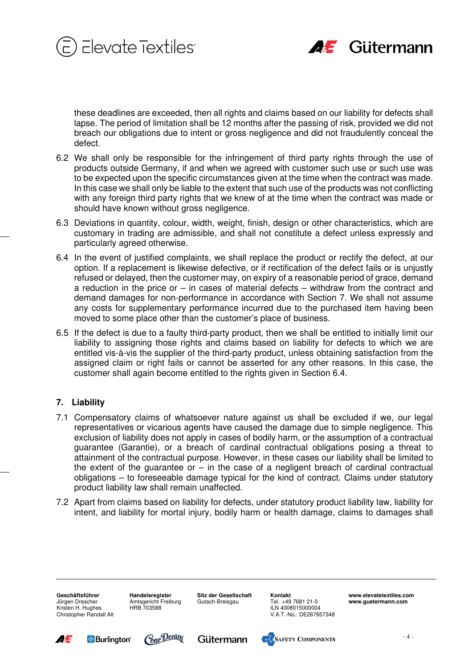



these deadlines are exceeded, then all rights and claims based on our liability for defects shall lapse. The period of limitation shall be 12 months after the passing of risk, provided we did not breach our obligations due to intent or gross negligence and did not fraudulently conceal the defect.

- 6.2 We shall only be responsible for the infringement of third party rights through the use of products outside Germany, if and when we agreed with customer such use or such use was to be expected upon the specific circumstances given at the time when the contract was made. In this case we shall only be liable to the extent that such use of the products was not conflicting with any foreign third party rights that we knew of at the time when the contract was made or should have known without gross negligence.
- 6.3 Deviations in quantity, colour, width, weight, finish, design or other characteristics, which are customary in trading are admissible, and shall not constitute a defect unless expressly and particularly agreed otherwise.
- 6.4 In the event of justified complaints, we shall replace the product or rectify the defect, at our option. If a replacement is likewise defective, or if rectification of the defect fails or is unjustly refused or delayed, then the customer may, on expiry of a reasonable period of grace, demand a reduction in the price or – in cases of material defects – withdraw from the contract and demand damages for non-performance in accordance with Section 7. We shall not assume any costs for supplementary performance incurred due to the purchased item having been moved to some place other than the customer's place of business.
- 6.5 If the defect is due to a faulty third-party product, then we shall be entitled to initially limit our liability to assigning those rights and claims based on liability for defects to which we are entitled vis-à-vis the supplier of the third-party product, unless obtaining satisfaction from the assigned claim or right fails or cannot be asserted for any other reasons. In this case, the customer shall again become entitled to the rights given in Section 6.4.

## **7. Liability**

- 7.1 Compensatory claims of whatsoever nature against us shall be excluded if we, our legal representatives or vicarious agents have caused the damage due to simple negligence. This exclusion of liability does not apply in cases of bodily harm, or the assumption of a contractual guarantee (Garantie), or a breach of cardinal contractual obligations posing a threat to attainment of the contractual purpose. However, in these cases our liability shall be limited to the extent of the quarantee or  $-$  in the case of a negligent breach of cardinal contractual obligations – to foreseeable damage typical for the kind of contract. Claims under statutory product liability law shall remain unaffected.
- 7.2 Apart from claims based on liability for defects, under statutory product liability law, liability for intent, and liability for mortal injury, bodily harm or health damage, claims to damages shall

**Geschäftsführer**  Jürgen Drescher Kristen H. Hughes Christopher Randall Alt

**Handelsregister**  Amtsgericht Freiburg HRB 703588

**Sitz der Gesellschaft**  Gutach-Breisgau

**Kontakt**  Tel. +49 7681 21-0 ILN 4008015000004 V.A.T.-No.: DE267657348